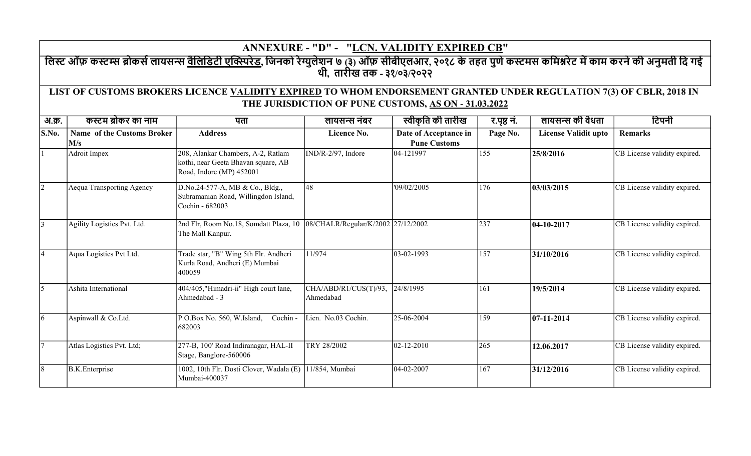## ANNEXURE - "D" - "LCN. VALIDITY EXPIRED CB"

लिस्ट ऑफ़ कस्टम्स ब्रोकसे लायसन्स <u>वैलिडिटी एक्स्पिरेड,</u> जिनको रेग्युलेशन ७ (३) ऑफ़ सीबीएलआर, २०१८ के तहत पुणे कस्टमस कमिश्नरेट में काम करने की अनुमती दि गई थी, तारीख तक - ३१/०३/२०२२

## LIST OF CUSTOMS BROKERS LICENCE VALIDITY EXPIRED TO WHOM ENDORSEMENT GRANTED UNDER REGULATION 7(3) OF CBLR, 2018 IN THE JURISDICTION OF PUNE CUSTOMS, AS ON - 31.03.2022

| अ.क्र.    | कस्टम ब्रोकर का नाम                      | पता                                                                                                   | लायसन्स नंबर                       | स्वीकृति की तारीख                            | र.पृष्ठ नं. | लायसन्स की वैधता     | टिपनी                        |
|-----------|------------------------------------------|-------------------------------------------------------------------------------------------------------|------------------------------------|----------------------------------------------|-------------|----------------------|------------------------------|
| S.No.     | <b>Name of the Customs Broker</b><br>M/s | <b>Address</b>                                                                                        | Licence No.                        | Date of Acceptance in<br><b>Pune Customs</b> | Page No.    | License Validit upto | <b>Remarks</b>               |
|           | Adroit Impex                             | 208, Alankar Chambers, A-2, Ratlam<br>kothi, near Geeta Bhavan square, AB<br>Road, Indore (MP) 452001 | IND/R-2/97, Indore                 | 04-121997                                    | 155         | 25/8/2016            | CB License validity expired. |
| $\vert$ 2 | Aequa Transporting Agency                | D.No.24-577-A, MB & Co., Bldg.,<br>Subramanian Road, Willingdon Island,<br>Cochin - 682003            | 48                                 | '09/02/2005                                  | 176         | 03/03/2015           | CB License validity expired. |
| 3         | Agility Logistics Pvt. Ltd.              | 2nd Flr, Room No.18, Somdatt Plaza, 10<br>The Mall Kanpur.                                            | 08/CHALR/Regular/K/2002 27/12/2002 |                                              | 237         | $ 04 - 10 - 2017$    | CB License validity expired. |
| 4         | Aqua Logistics Pvt Ltd.                  | Trade star, "B" Wing 5th Flr. Andheri<br>Kurla Road, Andheri (E) Mumbai<br>400059                     | 11/974                             | 03-02-1993                                   | 157         | 31/10/2016           | CB License validity expired. |
| 5         | Ashita International                     | 404/405,"Himadri-ii" High court lane,<br>Ahmedabad - 3                                                | CHA/ABD/R1/CUS(T)/93,<br>Ahmedabad | 24/8/1995                                    | 161         | 19/5/2014            | CB License validity expired. |
| 6         | Aspinwall & Co.Ltd.                      | Cochin-<br>P.O.Box No. 560, W.Island,<br>682003                                                       | Lien. No.03 Cochin.                | 25-06-2004                                   | 159         | $ 07-11-2014$        | CB License validity expired. |
| $\tau$    | Atlas Logistics Pvt. Ltd;                | 277-B, 100' Road Indiranagar, HAL-II<br>Stage, Banglore-560006                                        | TRY 28/2002                        | $ 02 - 12 - 2010$                            | 265         | 12.06.2017           | CB License validity expired. |
| 8         | <b>B.K.</b> Enterprise                   | 1002, 10th Flr. Dosti Clover, Wadala (E) 11/854, Mumbai<br>Mumbai-400037                              |                                    | $ 04-02-2007$                                | 167         | 31/12/2016           | CB License validity expired. |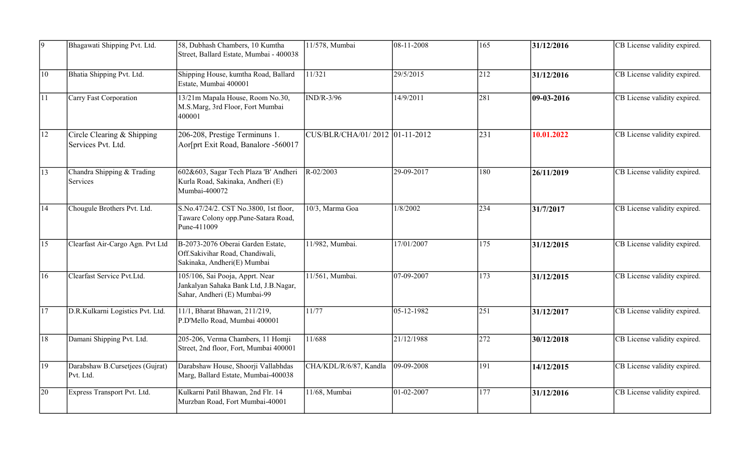| 9               | Bhagawati Shipping Pvt. Ltd.                     | 58, Dubhash Chambers, 10 Kumtha<br>Street, Ballard Estate, Mumbai - 400038                               | 11/578, Mumbai                 | $ 08 - 11 - 2008$ | $\overline{165}$ | 31/12/2016 | CB License validity expired. |
|-----------------|--------------------------------------------------|----------------------------------------------------------------------------------------------------------|--------------------------------|-------------------|------------------|------------|------------------------------|
| 10              | Bhatia Shipping Pvt. Ltd.                        | Shipping House, kumtha Road, Ballard<br>Estate, Mumbai 400001                                            | 11/321                         | 29/5/2015         | 212              | 31/12/2016 | CB License validity expired. |
| $ 11\rangle$    | Carry Fast Corporation                           | 13/21m Mapala House, Room No.30,<br>M.S.Marg, 3rd Floor, Fort Mumbai<br>400001                           | $\overline{\text{IND/R-3/96}}$ | 14/9/2011         | 281              | 09-03-2016 | CB License validity expired. |
| $\overline{12}$ | Circle Clearing & Shipping<br>Services Pvt. Ltd. | 206-208, Prestige Terminuns 1.<br>Aor[prt Exit Road, Banalore -560017                                    | CUS/BLR/CHA/01/2012 01-11-2012 |                   | 231              | 10.01.2022 | CB License validity expired. |
| 13              | Chandra Shipping & Trading<br>Services           | 602&603, Sagar Tech Plaza 'B' Andheri<br>Kurla Road, Sakinaka, Andheri (E)<br>Mumbai-400072              | $R - 02/2003$                  | 29-09-2017        | 180              | 26/11/2019 | CB License validity expired. |
| 14              | Chougule Brothers Pvt. Ltd.                      | S.No.47/24/2. CST No.3800, 1st floor,<br>Taware Colony opp.Pune-Satara Road,<br>Pune-411009              | 10/3, Marma Goa                | 1/8/2002          | 234              | 31/7/2017  | CB License validity expired. |
| 15              | Clearfast Air-Cargo Agn. Pvt Ltd                 | B-2073-2076 Oberai Garden Estate,<br>Off.Sakivihar Road, Chandiwali,<br>Sakinaka, Andheri(E) Mumbai      | 11/982, Mumbai.                | 17/01/2007        | 175              | 31/12/2015 | CB License validity expired. |
| 16              | Clearfast Service Pvt.Ltd.                       | 105/106, Sai Pooja, Apprt. Near<br>Jankalyan Sahaka Bank Ltd, J.B.Nagar,<br>Sahar, Andheri (E) Mumbai-99 | 11/561, Mumbai.                | 07-09-2007        | 173              | 31/12/2015 | CB License validity expired. |
| 17              | D.R.Kulkarni Logistics Pvt. Ltd.                 | 11/1, Bharat Bhawan, 211/219,<br>P.D'Mello Road, Mumbai 400001                                           | 11/77                          | $ 05 - 12 - 1982$ | 251              | 31/12/2017 | CB License validity expired. |
| 18              | Damani Shipping Pvt. Ltd.                        | 205-206, Verma Chambers, 11 Homji<br>Street, 2nd floor, Fort, Mumbai 400001                              | 11/688                         | 21/12/1988        | 272              | 30/12/2018 | CB License validity expired. |
| 19              | Darabshaw B.Cursetjees (Gujrat)<br>Pvt. Ltd.     | Darabshaw House, Shoorji Vallabhdas<br>Marg, Ballard Estate, Mumbai-400038                               | CHA/KDL/R/6/87, Kandla         | $ 09-09-2008$     | 191              | 14/12/2015 | CB License validity expired. |
| 20              | Express Transport Pvt. Ltd.                      | Kulkarni Patil Bhawan, 2nd Flr. 14<br>Murzban Road, Fort Mumbai-40001                                    | 11/68, Mumbai                  | $01 - 02 - 2007$  | $\overline{177}$ | 31/12/2016 | CB License validity expired. |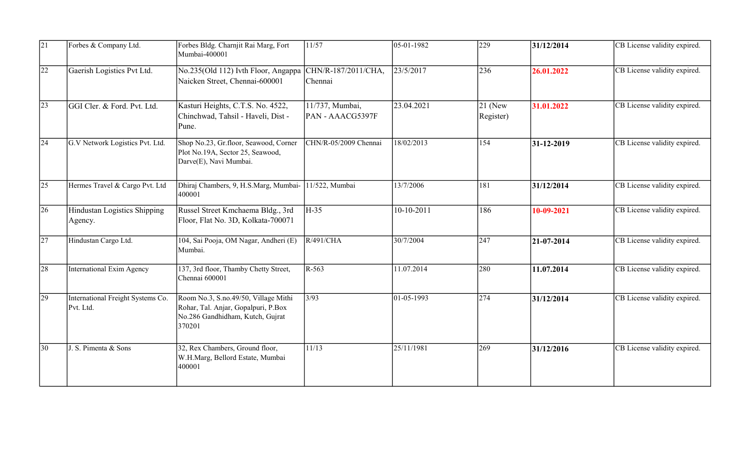| $\overline{21}$ | Forbes & Company Ltd.                          | Forbes Bldg. Charnjit Rai Marg, Fort<br>Mumbai-400001                                                                     | 11/57                               | $ 05-01-1982$     | 229                    | 31/12/2014     | CB License validity expired. |
|-----------------|------------------------------------------------|---------------------------------------------------------------------------------------------------------------------------|-------------------------------------|-------------------|------------------------|----------------|------------------------------|
| $\overline{22}$ | Gaerish Logistics Pvt Ltd.                     | No.235(Old 112) Ivth Floor, Angappa<br>Naicken Street, Chennai-600001                                                     | CHN/R-187/2011/CHA,<br>Chennai      | 23/5/2017         | 236                    | 26.01.2022     | CB License validity expired. |
| $ 23\rangle$    | GGI Cler. & Ford. Pvt. Ltd.                    | Kasturi Heights, C.T.S. No. 4522,<br>Chinchwad, Tahsil - Haveli, Dist -<br>Pune.                                          | 11/737, Mumbai,<br>PAN - AAACG5397F | 23.04.2021        | $21$ (New<br>Register) | 31.01.2022     | CB License validity expired. |
| $ 24\rangle$    | G.V Network Logistics Pvt. Ltd.                | Shop No.23, Gr.floor, Seawood, Corner<br>Plot No.19A, Sector 25, Seawood,<br>Darve(E), Navi Mumbai.                       | CHN/R-05/2009 Chennai               | 18/02/2013        | 154                    | $ 31-12-2019 $ | CB License validity expired. |
| $\overline{25}$ | Hermes Travel & Cargo Pvt. Ltd                 | Dhiraj Chambers, 9, H.S.Marg, Mumbai-<br>400001                                                                           | 11/522, Mumbai                      | 13/7/2006         | 181                    | 31/12/2014     | CB License validity expired. |
| 26              | Hindustan Logistics Shipping<br>Agency.        | Russel Street Kmchaema Bldg., 3rd<br>Floor, Flat No. 3D, Kolkata-700071                                                   | H-35                                | 10-10-2011        | 186                    | 10-09-2021     | CB License validity expired. |
| 27              | Hindustan Cargo Ltd.                           | 104, Sai Pooja, OM Nagar, Andheri (E)<br>Mumbai.                                                                          | R/491/CHA                           | 30/7/2004         | 247                    | $ 21-07-2014$  | CB License validity expired. |
| 28              | International Exim Agency                      | 137, 3rd floor, Thamby Chetty Street,<br>Chennai 600001                                                                   | $R-563$                             | 11.07.2014        | 280                    | 11.07.2014     | CB License validity expired. |
| $ 29\rangle$    | International Freight Systems Co.<br>Pvt. Ltd. | Room No.3, S.no.49/50, Village Mithi<br>Rohar, Tal. Anjar, Gopalpuri, P.Box<br>No.286 Gandhidham, Kutch, Gujrat<br>370201 | 3/93                                | $ 01 - 05 - 1993$ | 274                    | 31/12/2014     | CB License validity expired. |
| 30              | J. S. Pimenta & Sons                           | 32, Rex Chambers, Ground floor,<br>W.H.Marg, Bellord Estate, Mumbai<br>400001                                             | 11/13                               | 25/11/1981        | 269                    | 31/12/2016     | CB License validity expired. |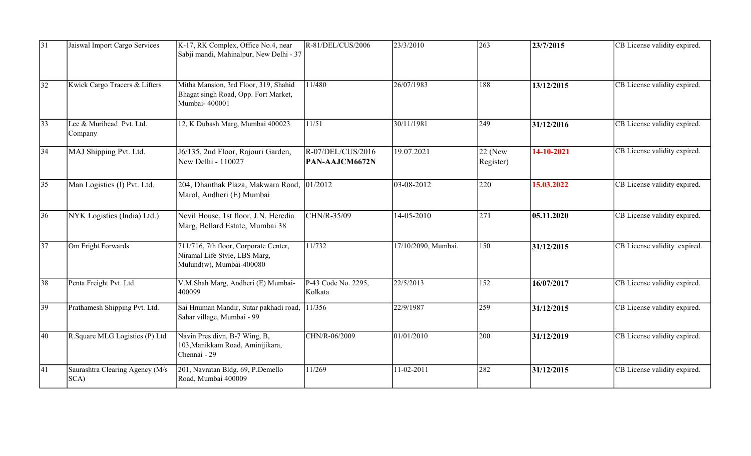| 31              | Jaiswal Import Cargo Services           | K-17, RK Complex, Office No.4, near<br>Sabji mandi, Mahinalpur, New Delhi - 37                     | R-81/DEL/CUS/2006                     | 23/3/2010           | 263                    | 23/7/2015  | CB License validity expired. |
|-----------------|-----------------------------------------|----------------------------------------------------------------------------------------------------|---------------------------------------|---------------------|------------------------|------------|------------------------------|
| $\overline{32}$ | Kwick Cargo Tracers & Lifters           | Mitha Mansion, 3rd Floor, 319, Shahid<br>Bhagat singh Road, Opp. Fort Market,<br>Mumbai-400001     | 11/480                                | 26/07/1983          | 188                    | 13/12/2015 | CB License validity expired. |
| 33              | Lee & Murihead Pvt. Ltd.<br>Company     | 12, K Dubash Marg, Mumbai 400023                                                                   | 11/51                                 | 30/11/1981          | 249                    | 31/12/2016 | CB License validity expired. |
| $\overline{34}$ | MAJ Shipping Pvt. Ltd.                  | J6/135, 2nd Floor, Rajouri Garden,<br>New Delhi - 110027                                           | $R-O7/DEL/CUS/2016$<br>PAN-AAJCM6672N | 19.07.2021          | $22$ (New<br>Register) | 14-10-2021 | CB License validity expired. |
| 35              | Man Logistics (I) Pvt. Ltd.             | 204, Dhanthak Plaza, Makwara Road,<br>Marol, Andheri (E) Mumbai                                    | 01/2012                               | 03-08-2012          | 220                    | 15.03.2022 | CB License validity expired. |
| 36              | NYK Logistics (India) Ltd.)             | Nevil House, 1st floor, J.N. Heredia<br>Marg, Bellard Estate, Mumbai 38                            | CHN/R-35/09                           | 14-05-2010          | 271                    | 05.11.2020 | CB License validity expired. |
| $\overline{37}$ | Om Fright Forwards                      | 711/716, 7th floor, Corporate Center,<br>Niramal Life Style, LBS Marg,<br>Mulund(w), Mumbai-400080 | 11/732                                | 17/10/2090, Mumbai. | 150                    | 31/12/2015 | CB License validity expired. |
| 38              | Penta Freight Pvt. Ltd.                 | V.M.Shah Marg, Andheri (E) Mumbai-<br>400099                                                       | P-43 Code No. 2295,<br>Kolkata        | 22/5/2013           | 152                    | 16/07/2017 | CB License validity expired. |
| 39              | Prathamesh Shipping Pvt. Ltd.           | Sai Hnuman Mandir, Sutar pakhadi road,<br>Sahar village, Mumbai - 99                               | 11/356                                | 22/9/1987           | 259                    | 31/12/2015 | CB License validity expired. |
| 40              | R. Square MLG Logistics (P) Ltd         | Navin Pres divn, B-7 Wing, B,<br>103, Manikkam Road, Aminijikara,<br>Chennai - 29                  | CHN/R-06/2009                         | 01/01/2010          | 200                    | 31/12/2019 | CB License validity expired. |
| 41              | Saurashtra Clearing Agency (M/s<br>SCA) | 201, Navratan Bldg. 69, P.Demello<br>Road, Mumbai 400009                                           | 11/269                                | 11-02-2011          | 282                    | 31/12/2015 | CB License validity expired. |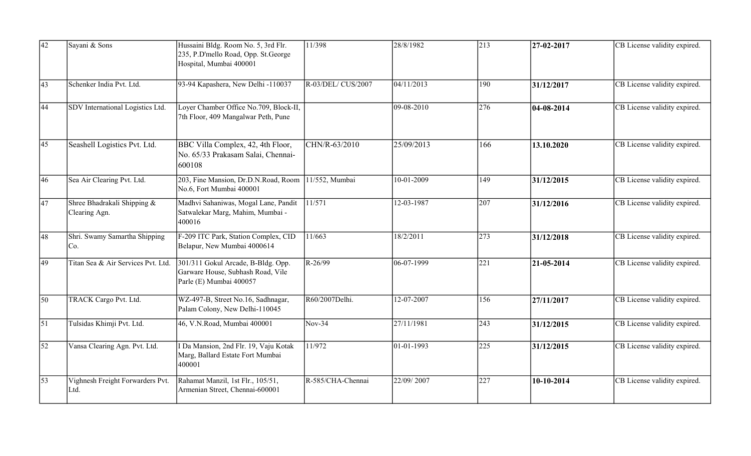| 42         | Sayani & Sons                                | Hussaini Bldg. Room No. 5, 3rd Flr.<br>235, P.D'mello Road, Opp. St.George<br>Hospital, Mumbai 400001 | 11/398             | 28/8/1982  | $\vert$ 213      | $ 27-02-2017$ | CB License validity expired. |
|------------|----------------------------------------------|-------------------------------------------------------------------------------------------------------|--------------------|------------|------------------|---------------|------------------------------|
| 43         | Schenker India Pvt. Ltd.                     | 93-94 Kapashera, New Delhi -110037                                                                    | R-03/DEL/ CUS/2007 | 04/11/2013 | 190              | 31/12/2017    | CB License validity expired. |
| 44         | SDV International Logistics Ltd.             | Loyer Chamber Office No.709, Block-II,<br>7th Floor, 409 Mangalwar Peth, Pune                         |                    | 09-08-2010 | 276              | $ 04-08-2014$ | CB License validity expired. |
| 45         | Seashell Logistics Pvt. Ltd.                 | BBC Villa Complex, 42, 4th Floor,<br>No. 65/33 Prakasam Salai, Chennai-<br>600108                     | CHN/R-63/2010      | 25/09/2013 | 166              | 13.10.2020    | CB License validity expired. |
| 46         | Sea Air Clearing Pvt. Ltd.                   | 203, Fine Mansion, Dr.D.N.Road, Room 11/552, Mumbai<br>No.6, Fort Mumbai 400001                       |                    | 10-01-2009 | 149              | 31/12/2015    | CB License validity expired. |
| 47         | Shree Bhadrakali Shipping &<br>Clearing Agn. | Madhvi Sahaniwas, Mogal Lane, Pandit<br>Satwalekar Marg, Mahim, Mumbai -<br>400016                    | 11/571             | 12-03-1987 | 207              | 31/12/2016    | CB License validity expired. |
| 48         | Shri. Swamy Samartha Shipping<br>Co.         | F-209 ITC Park, Station Complex, CID<br>Belapur, New Mumbai 4000614                                   | 11/663             | 18/2/2011  | 273              | 31/12/2018    | CB License validity expired. |
| 49         | Titan Sea & Air Services Pvt. Ltd.           | 301/311 Gokul Arcade, B-Bldg. Opp.<br>Garware House, Subhash Road, Vile<br>Parle (E) Mumbai 400057    | R-26/99            | 06-07-1999 | $\overline{221}$ | 21-05-2014    | CB License validity expired. |
| 50         | TRACK Cargo Pvt. Ltd.                        | WZ-497-B, Street No.16, Sadhnagar,<br>Palam Colony, New Delhi-110045                                  | R60/2007Delhi.     | 12-07-2007 | 156              | 27/11/2017    | CB License validity expired. |
| $\vert$ 51 | Tulsidas Khimji Pvt. Ltd.                    | 46, V.N.Road, Mumbai 400001                                                                           | $Nov-34$           | 27/11/1981 | 243              | 31/12/2015    | CB License validity expired. |
| $\vert$ 52 | Vansa Clearing Agn. Pvt. Ltd.                | Da Mansion, 2nd Flr. 19, Vaju Kotak<br>Marg, Ballard Estate Fort Mumbai<br>400001                     | 11/972             | 01-01-1993 | 225              | 31/12/2015    | CB License validity expired. |
| 53         | Vighnesh Freight Forwarders Pvt.<br>Ltd.     | Rahamat Manzil, 1st Flr., 105/51,<br>Armenian Street, Chennai-600001                                  | R-585/CHA-Chennai  | 22/09/2007 | 227              | 10-10-2014    | CB License validity expired. |